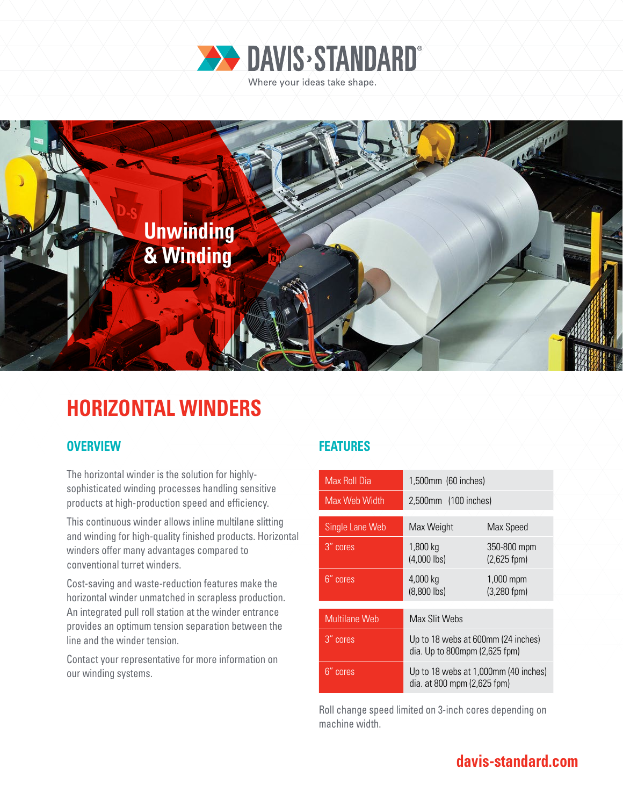



# **HORIZONTAL WINDERS**

### **OVERVIEW FEATURES**

The horizontal winder is the solution for highlysophisticated winding processes handling sensitive products at high-production speed and efficiency.

This continuous winder allows inline multilane slitting and winding for high-quality finished products. Horizontal winders offer many advantages compared to conventional turret winders.

Cost-saving and waste-reduction features make the horizontal winder unmatched in scrapless production. An integrated pull roll station at the winder entrance provides an optimum tension separation between the line and the winder tension.

Contact your representative for more information on our winding systems.

| Max Roll Dia         | 1,500mm (60 inches)                                                 |                               |
|----------------------|---------------------------------------------------------------------|-------------------------------|
| Max Web Width        | 2,500mm (100 inches)                                                |                               |
|                      |                                                                     |                               |
| Single Lane Web      | Max Weight                                                          | Max Speed                     |
| 3" cores             | 1,800 kg<br>$(4,000$ lbs)                                           | 350-800 mpm<br>$(2,625$ fpm)  |
| 6" cores             | 4,000 kg<br>$(8,800$ lbs)                                           | 1,000 mpm<br>$(3,280$ fpm $)$ |
|                      |                                                                     |                               |
| <b>Multilane Web</b> | Max Slit Webs                                                       |                               |
| 3" cores             | Up to 18 webs at 600mm (24 inches)<br>dia. Up to 800mpm (2,625 fpm) |                               |
| '6" cores            | Up to 18 webs at 1,000mm (40 inches)<br>dia. at 800 mpm (2,625 fpm) |                               |

Roll change speed limited on 3-inch cores depending on machine width.

### **davis-standard.com**